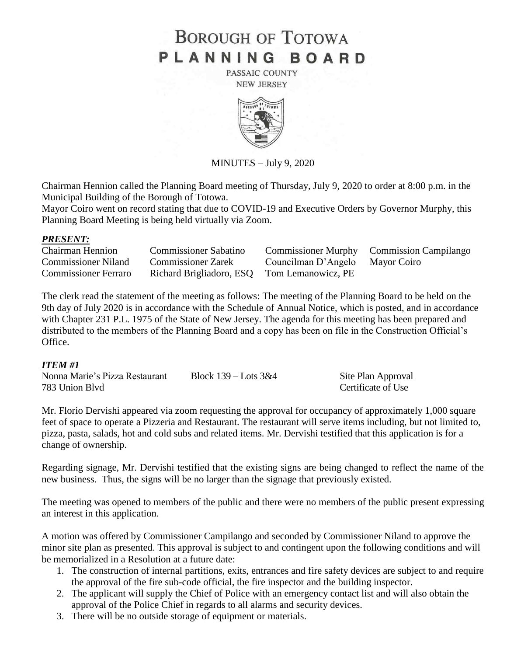# **BOROUGH OF TOTOWA** PLANNING BOARD

PASSAIC COUNTY **NEW JERSEY** 



MINUTES – July 9, 2020

Chairman Hennion called the Planning Board meeting of Thursday, July 9, 2020 to order at 8:00 p.m. in the Municipal Building of the Borough of Totowa.

Mayor Coiro went on record stating that due to COVID-19 and Executive Orders by Governor Murphy, this Planning Board Meeting is being held virtually via Zoom.

# *PRESENT:*

| <b>Chairman Hennion</b>     | <b>Commissioner Sabatino</b>                |                                 | Commissioner Murphy Commission Campilango |
|-----------------------------|---------------------------------------------|---------------------------------|-------------------------------------------|
| <b>Commissioner Niland</b>  | <b>Commissioner Zarek</b>                   | Councilman D'Angelo Mayor Coiro |                                           |
| <b>Commissioner Ferraro</b> | Richard Brigliadoro, ESQ Tom Lemanowicz, PE |                                 |                                           |

The clerk read the statement of the meeting as follows: The meeting of the Planning Board to be held on the 9th day of July 2020 is in accordance with the Schedule of Annual Notice, which is posted, and in accordance with Chapter 231 P.L. 1975 of the State of New Jersey. The agenda for this meeting has been prepared and distributed to the members of the Planning Board and a copy has been on file in the Construction Official's Office.

# *ITEM #1*

| Nonna Marie's Pizza Restaurant | Block $139 -$ Lots $3&4$ | Site Plan Approval |
|--------------------------------|--------------------------|--------------------|
| 783 Union Blyd                 |                          | Certificate of Use |

Mr. Florio Dervishi appeared via zoom requesting the approval for occupancy of approximately 1,000 square feet of space to operate a Pizzeria and Restaurant. The restaurant will serve items including, but not limited to, pizza, pasta, salads, hot and cold subs and related items. Mr. Dervishi testified that this application is for a change of ownership.

Regarding signage, Mr. Dervishi testified that the existing signs are being changed to reflect the name of the new business. Thus, the signs will be no larger than the signage that previously existed.

The meeting was opened to members of the public and there were no members of the public present expressing an interest in this application.

A motion was offered by Commissioner Campilango and seconded by Commissioner Niland to approve the minor site plan as presented. This approval is subject to and contingent upon the following conditions and will be memorialized in a Resolution at a future date:

- 1. The construction of internal partitions, exits, entrances and fire safety devices are subject to and require the approval of the fire sub-code official, the fire inspector and the building inspector.
- 2. The applicant will supply the Chief of Police with an emergency contact list and will also obtain the approval of the Police Chief in regards to all alarms and security devices.
- 3. There will be no outside storage of equipment or materials.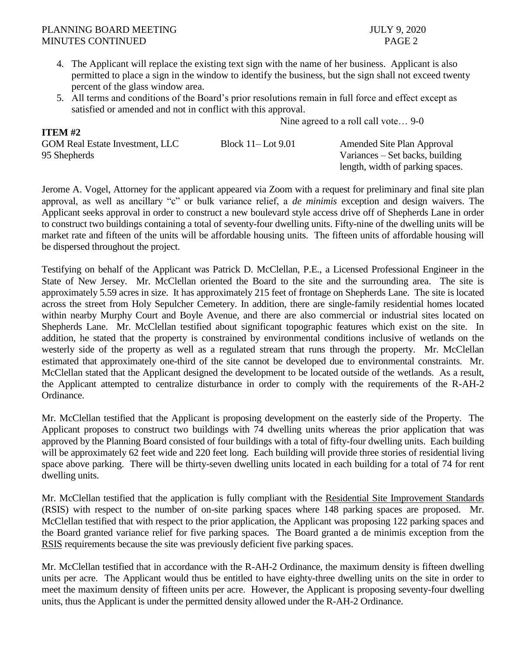**ITEM #2** 

- 4. The Applicant will replace the existing text sign with the name of her business. Applicant is also permitted to place a sign in the window to identify the business, but the sign shall not exceed twenty percent of the glass window area.
- 5. All terms and conditions of the Board's prior resolutions remain in full force and effect except as satisfied or amended and not in conflict with this approval.

Nine agreed to a roll call vote… 9-0

| 11 L.VI #2                             |                         |                                  |
|----------------------------------------|-------------------------|----------------------------------|
| <b>GOM Real Estate Investment, LLC</b> | Block $11$ – Lot $9.01$ | Amended Site Plan Approval       |
| 95 Shepherds                           |                         | Variances – Set backs, building  |
|                                        |                         | length, width of parking spaces. |

Jerome A. Vogel, Attorney for the applicant appeared via Zoom with a request for preliminary and final site plan approval, as well as ancillary "c" or bulk variance relief, a *de minimis* exception and design waivers. The Applicant seeks approval in order to construct a new boulevard style access drive off of Shepherds Lane in order to construct two buildings containing a total of seventy-four dwelling units. Fifty-nine of the dwelling units will be market rate and fifteen of the units will be affordable housing units. The fifteen units of affordable housing will be dispersed throughout the project.

Testifying on behalf of the Applicant was Patrick D. McClellan, P.E., a Licensed Professional Engineer in the State of New Jersey. Mr. McClellan oriented the Board to the site and the surrounding area. The site is approximately 5.59 acres in size. It has approximately 215 feet of frontage on Shepherds Lane. The site is located across the street from Holy Sepulcher Cemetery. In addition, there are single-family residential homes located within nearby Murphy Court and Boyle Avenue, and there are also commercial or industrial sites located on Shepherds Lane. Mr. McClellan testified about significant topographic features which exist on the site. In addition, he stated that the property is constrained by environmental conditions inclusive of wetlands on the westerly side of the property as well as a regulated stream that runs through the property. Mr. McClellan estimated that approximately one-third of the site cannot be developed due to environmental constraints. Mr. McClellan stated that the Applicant designed the development to be located outside of the wetlands. As a result, the Applicant attempted to centralize disturbance in order to comply with the requirements of the R-AH-2 Ordinance.

Mr. McClellan testified that the Applicant is proposing development on the easterly side of the Property. The Applicant proposes to construct two buildings with 74 dwelling units whereas the prior application that was approved by the Planning Board consisted of four buildings with a total of fifty-four dwelling units. Each building will be approximately 62 feet wide and 220 feet long. Each building will provide three stories of residential living space above parking. There will be thirty-seven dwelling units located in each building for a total of 74 for rent dwelling units.

Mr. McClellan testified that the application is fully compliant with the Residential Site Improvement Standards (RSIS) with respect to the number of on-site parking spaces where 148 parking spaces are proposed. Mr. McClellan testified that with respect to the prior application, the Applicant was proposing 122 parking spaces and the Board granted variance relief for five parking spaces. The Board granted a de minimis exception from the RSIS requirements because the site was previously deficient five parking spaces.

Mr. McClellan testified that in accordance with the R-AH-2 Ordinance, the maximum density is fifteen dwelling units per acre. The Applicant would thus be entitled to have eighty-three dwelling units on the site in order to meet the maximum density of fifteen units per acre. However, the Applicant is proposing seventy-four dwelling units, thus the Applicant is under the permitted density allowed under the R-AH-2 Ordinance.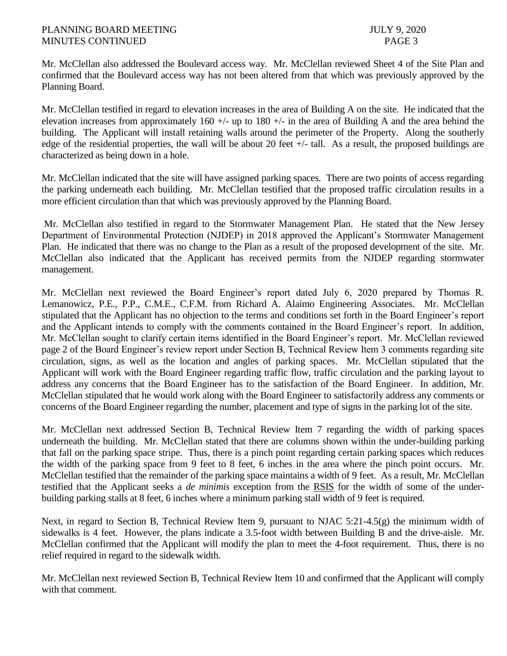Mr. McClellan also addressed the Boulevard access way. Mr. McClellan reviewed Sheet 4 of the Site Plan and confirmed that the Boulevard access way has not been altered from that which was previously approved by the Planning Board.

Mr. McClellan testified in regard to elevation increases in the area of Building A on the site. He indicated that the elevation increases from approximately 160 +/- up to 180 +/- in the area of Building A and the area behind the building. The Applicant will install retaining walls around the perimeter of the Property. Along the southerly edge of the residential properties, the wall will be about 20 feet +/- tall. As a result, the proposed buildings are characterized as being down in a hole.

Mr. McClellan indicated that the site will have assigned parking spaces. There are two points of access regarding the parking underneath each building. Mr. McClellan testified that the proposed traffic circulation results in a more efficient circulation than that which was previously approved by the Planning Board.

Mr. McClellan also testified in regard to the Stormwater Management Plan. He stated that the New Jersey Department of Environmental Protection (NJDEP) in 2018 approved the Applicant's Stormwater Management Plan. He indicated that there was no change to the Plan as a result of the proposed development of the site. Mr. McClellan also indicated that the Applicant has received permits from the NJDEP regarding stormwater management.

Mr. McClellan next reviewed the Board Engineer's report dated July 6, 2020 prepared by Thomas R. Lemanowicz, P.E., P.P., C.M.E., C.F.M. from Richard A. Alaimo Engineering Associates. Mr. McClellan stipulated that the Applicant has no objection to the terms and conditions set forth in the Board Engineer's report and the Applicant intends to comply with the comments contained in the Board Engineer's report. In addition, Mr. McClellan sought to clarify certain items identified in the Board Engineer's report. Mr. McClellan reviewed page 2 of the Board Engineer's review report under Section B, Technical Review Item 3 comments regarding site circulation, signs, as well as the location and angles of parking spaces. Mr. McClellan stipulated that the Applicant will work with the Board Engineer regarding traffic flow, traffic circulation and the parking layout to address any concerns that the Board Engineer has to the satisfaction of the Board Engineer. In addition, Mr. McClellan stipulated that he would work along with the Board Engineer to satisfactorily address any comments or concerns of the Board Engineer regarding the number, placement and type of signs in the parking lot of the site.

Mr. McClellan next addressed Section B, Technical Review Item 7 regarding the width of parking spaces underneath the building. Mr. McClellan stated that there are columns shown within the under-building parking that fall on the parking space stripe. Thus, there is a pinch point regarding certain parking spaces which reduces the width of the parking space from 9 feet to 8 feet, 6 inches in the area where the pinch point occurs. Mr. McClellan testified that the remainder of the parking space maintains a width of 9 feet. As a result, Mr. McClellan testified that the Applicant seeks a *de minimis* exception from the RSIS for the width of some of the underbuilding parking stalls at 8 feet, 6 inches where a minimum parking stall width of 9 feet is required.

Next, in regard to Section B, Technical Review Item 9, pursuant to NJAC 5:21-4.5(g) the minimum width of sidewalks is 4 feet. However, the plans indicate a 3.5-foot width between Building B and the drive-aisle. Mr. McClellan confirmed that the Applicant will modify the plan to meet the 4-foot requirement. Thus, there is no relief required in regard to the sidewalk width.

Mr. McClellan next reviewed Section B, Technical Review Item 10 and confirmed that the Applicant will comply with that comment.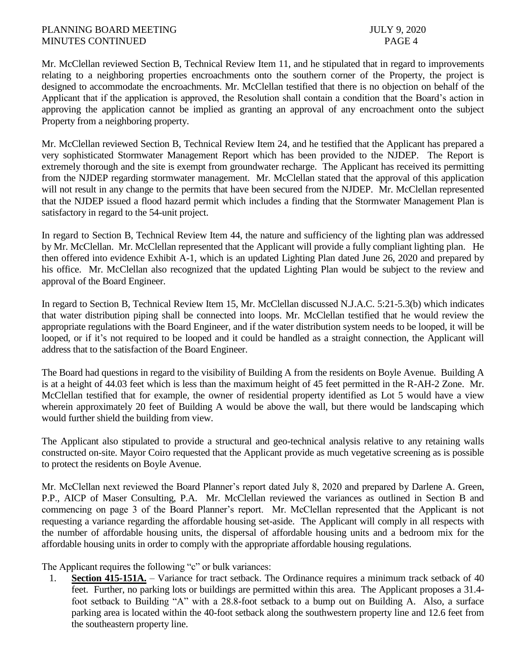Mr. McClellan reviewed Section B, Technical Review Item 11, and he stipulated that in regard to improvements relating to a neighboring properties encroachments onto the southern corner of the Property, the project is designed to accommodate the encroachments. Mr. McClellan testified that there is no objection on behalf of the Applicant that if the application is approved, the Resolution shall contain a condition that the Board's action in approving the application cannot be implied as granting an approval of any encroachment onto the subject Property from a neighboring property.

Mr. McClellan reviewed Section B, Technical Review Item 24, and he testified that the Applicant has prepared a very sophisticated Stormwater Management Report which has been provided to the NJDEP. The Report is extremely thorough and the site is exempt from groundwater recharge. The Applicant has received its permitting from the NJDEP regarding stormwater management. Mr. McClellan stated that the approval of this application will not result in any change to the permits that have been secured from the NJDEP. Mr. McClellan represented that the NJDEP issued a flood hazard permit which includes a finding that the Stormwater Management Plan is satisfactory in regard to the 54-unit project.

In regard to Section B, Technical Review Item 44, the nature and sufficiency of the lighting plan was addressed by Mr. McClellan. Mr. McClellan represented that the Applicant will provide a fully compliant lighting plan. He then offered into evidence Exhibit A-1, which is an updated Lighting Plan dated June 26, 2020 and prepared by his office. Mr. McClellan also recognized that the updated Lighting Plan would be subject to the review and approval of the Board Engineer.

In regard to Section B, Technical Review Item 15, Mr. McClellan discussed N.J.A.C. 5:21-5.3(b) which indicates that water distribution piping shall be connected into loops. Mr. McClellan testified that he would review the appropriate regulations with the Board Engineer, and if the water distribution system needs to be looped, it will be looped, or if it's not required to be looped and it could be handled as a straight connection, the Applicant will address that to the satisfaction of the Board Engineer.

The Board had questions in regard to the visibility of Building A from the residents on Boyle Avenue. Building A is at a height of 44.03 feet which is less than the maximum height of 45 feet permitted in the R-AH-2 Zone. Mr. McClellan testified that for example, the owner of residential property identified as Lot 5 would have a view wherein approximately 20 feet of Building A would be above the wall, but there would be landscaping which would further shield the building from view.

The Applicant also stipulated to provide a structural and geo-technical analysis relative to any retaining walls constructed on-site. Mayor Coiro requested that the Applicant provide as much vegetative screening as is possible to protect the residents on Boyle Avenue.

Mr. McClellan next reviewed the Board Planner's report dated July 8, 2020 and prepared by Darlene A. Green, P.P., AICP of Maser Consulting, P.A. Mr. McClellan reviewed the variances as outlined in Section B and commencing on page 3 of the Board Planner's report. Mr. McClellan represented that the Applicant is not requesting a variance regarding the affordable housing set-aside. The Applicant will comply in all respects with the number of affordable housing units, the dispersal of affordable housing units and a bedroom mix for the affordable housing units in order to comply with the appropriate affordable housing regulations.

The Applicant requires the following "c" or bulk variances:

1. **Section 415-151A.** – Variance for tract setback. The Ordinance requires a minimum track setback of 40 feet. Further, no parking lots or buildings are permitted within this area. The Applicant proposes a 31.4 foot setback to Building "A" with a 28.8-foot setback to a bump out on Building A. Also, a surface parking area is located within the 40-foot setback along the southwestern property line and 12.6 feet from the southeastern property line.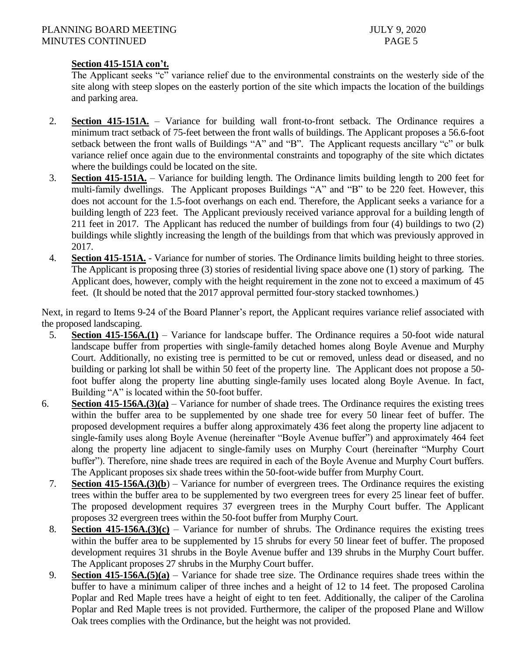# **Section 415-151A con't.**

The Applicant seeks "c" variance relief due to the environmental constraints on the westerly side of the site along with steep slopes on the easterly portion of the site which impacts the location of the buildings and parking area.

- 2. **Section 415-151A.** Variance for building wall front-to-front setback. The Ordinance requires a minimum tract setback of 75-feet between the front walls of buildings. The Applicant proposes a 56.6-foot setback between the front walls of Buildings "A" and "B". The Applicant requests ancillary "c" or bulk variance relief once again due to the environmental constraints and topography of the site which dictates where the buildings could be located on the site.
- 3. **Section 415-151A.** Variance for building length. The Ordinance limits building length to 200 feet for multi-family dwellings. The Applicant proposes Buildings "A" and "B" to be 220 feet. However, this does not account for the 1.5-foot overhangs on each end. Therefore, the Applicant seeks a variance for a building length of 223 feet. The Applicant previously received variance approval for a building length of 211 feet in 2017. The Applicant has reduced the number of buildings from four (4) buildings to two (2) buildings while slightly increasing the length of the buildings from that which was previously approved in 2017.
- 4. **Section 415-151A.** Variance for number of stories. The Ordinance limits building height to three stories. The Applicant is proposing three (3) stories of residential living space above one (1) story of parking. The Applicant does, however, comply with the height requirement in the zone not to exceed a maximum of 45 feet. (It should be noted that the 2017 approval permitted four-story stacked townhomes.)

Next, in regard to Items 9-24 of the Board Planner's report, the Applicant requires variance relief associated with the proposed landscaping.

- 5. **Section 415-156A.(1)** Variance for landscape buffer. The Ordinance requires a 50-foot wide natural landscape buffer from properties with single-family detached homes along Boyle Avenue and Murphy Court. Additionally, no existing tree is permitted to be cut or removed, unless dead or diseased, and no building or parking lot shall be within 50 feet of the property line. The Applicant does not propose a 50 foot buffer along the property line abutting single-family uses located along Boyle Avenue. In fact, Building "A" is located within the 50-foot buffer.
- 6. **Section 415-156A.(3)(a)** Variance for number of shade trees. The Ordinance requires the existing trees within the buffer area to be supplemented by one shade tree for every 50 linear feet of buffer. The proposed development requires a buffer along approximately 436 feet along the property line adjacent to single-family uses along Boyle Avenue (hereinafter "Boyle Avenue buffer") and approximately 464 feet along the property line adjacent to single-family uses on Murphy Court (hereinafter "Murphy Court buffer"). Therefore, nine shade trees are required in each of the Boyle Avenue and Murphy Court buffers. The Applicant proposes six shade trees within the 50-foot-wide buffer from Murphy Court.
	- 7. **Section 415-156A.(3)(b**) Variance for number of evergreen trees. The Ordinance requires the existing trees within the buffer area to be supplemented by two evergreen trees for every 25 linear feet of buffer. The proposed development requires 37 evergreen trees in the Murphy Court buffer. The Applicant proposes 32 evergreen trees within the 50-foot buffer from Murphy Court.
	- 8. **Section 415-156A.(3)(c)** Variance for number of shrubs. The Ordinance requires the existing trees within the buffer area to be supplemented by 15 shrubs for every 50 linear feet of buffer. The proposed development requires 31 shrubs in the Boyle Avenue buffer and 139 shrubs in the Murphy Court buffer. The Applicant proposes 27 shrubs in the Murphy Court buffer.
	- 9. **Section 415-156A.(5)(a)** Variance for shade tree size. The Ordinance requires shade trees within the buffer to have a minimum caliper of three inches and a height of 12 to 14 feet. The proposed Carolina Poplar and Red Maple trees have a height of eight to ten feet. Additionally, the caliper of the Carolina Poplar and Red Maple trees is not provided. Furthermore, the caliper of the proposed Plane and Willow Oak trees complies with the Ordinance, but the height was not provided.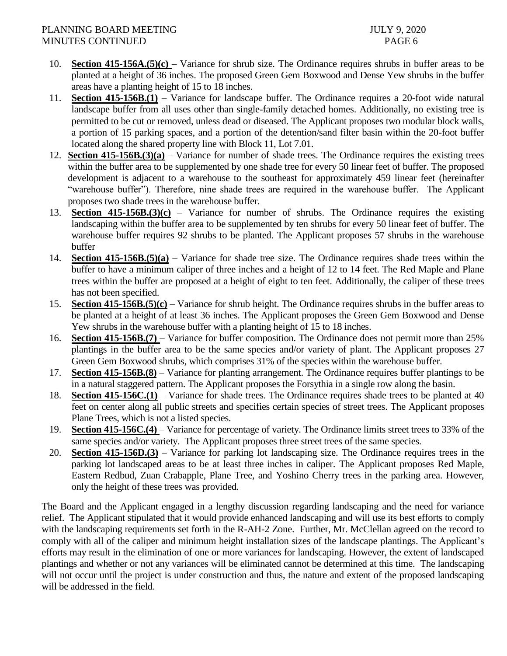- 10. **Section 415-156A.**(5)(c) Variance for shrub size. The Ordinance requires shrubs in buffer areas to be planted at a height of 36 inches. The proposed Green Gem Boxwood and Dense Yew shrubs in the buffer areas have a planting height of 15 to 18 inches.
- 11. **Section 415-156B.(1)** Variance for landscape buffer. The Ordinance requires a 20-foot wide natural landscape buffer from all uses other than single-family detached homes. Additionally, no existing tree is permitted to be cut or removed, unless dead or diseased. The Applicant proposes two modular block walls, a portion of 15 parking spaces, and a portion of the detention/sand filter basin within the 20-foot buffer located along the shared property line with Block 11, Lot 7.01.
- 12. **Section 415-156B.(3)(a)** Variance for number of shade trees. The Ordinance requires the existing trees within the buffer area to be supplemented by one shade tree for every 50 linear feet of buffer. The proposed development is adjacent to a warehouse to the southeast for approximately 459 linear feet (hereinafter "warehouse buffer"). Therefore, nine shade trees are required in the warehouse buffer. The Applicant proposes two shade trees in the warehouse buffer.
- 13. **Section 415-156B.(3)(c)** Variance for number of shrubs. The Ordinance requires the existing landscaping within the buffer area to be supplemented by ten shrubs for every 50 linear feet of buffer. The warehouse buffer requires 92 shrubs to be planted. The Applicant proposes 57 shrubs in the warehouse buffer
- 14. **Section 415-156B.(5)(a)** Variance for shade tree size. The Ordinance requires shade trees within the buffer to have a minimum caliper of three inches and a height of 12 to 14 feet. The Red Maple and Plane trees within the buffer are proposed at a height of eight to ten feet. Additionally, the caliper of these trees has not been specified.
- 15. **Section 415-156B.(5)(c)** Variance for shrub height. The Ordinance requires shrubs in the buffer areas to be planted at a height of at least 36 inches. The Applicant proposes the Green Gem Boxwood and Dense Yew shrubs in the warehouse buffer with a planting height of 15 to 18 inches.
- 16. **Section 415-156B.(7)**  Variance for buffer composition. The Ordinance does not permit more than 25% plantings in the buffer area to be the same species and/or variety of plant. The Applicant proposes 27 Green Gem Boxwood shrubs, which comprises 31% of the species within the warehouse buffer.
- 17. **Section 415-156B.(8)** Variance for planting arrangement. The Ordinance requires buffer plantings to be in a natural staggered pattern. The Applicant proposes the Forsythia in a single row along the basin.
- 18. **Section 415-156C.(1)** Variance for shade trees. The Ordinance requires shade trees to be planted at 40 feet on center along all public streets and specifies certain species of street trees. The Applicant proposes Plane Trees, which is not a listed species.
- 19. **Section 415-156C.(4)** Variance for percentage of variety. The Ordinance limits street trees to 33% of the same species and/or variety. The Applicant proposes three street trees of the same species.
- 20. **Section 415-156D.(3)** Variance for parking lot landscaping size. The Ordinance requires trees in the parking lot landscaped areas to be at least three inches in caliper. The Applicant proposes Red Maple, Eastern Redbud, Zuan Crabapple, Plane Tree, and Yoshino Cherry trees in the parking area. However, only the height of these trees was provided.

The Board and the Applicant engaged in a lengthy discussion regarding landscaping and the need for variance relief. The Applicant stipulated that it would provide enhanced landscaping and will use its best efforts to comply with the landscaping requirements set forth in the R-AH-2 Zone. Further, Mr. McClellan agreed on the record to comply with all of the caliper and minimum height installation sizes of the landscape plantings. The Applicant's efforts may result in the elimination of one or more variances for landscaping. However, the extent of landscaped plantings and whether or not any variances will be eliminated cannot be determined at this time. The landscaping will not occur until the project is under construction and thus, the nature and extent of the proposed landscaping will be addressed in the field.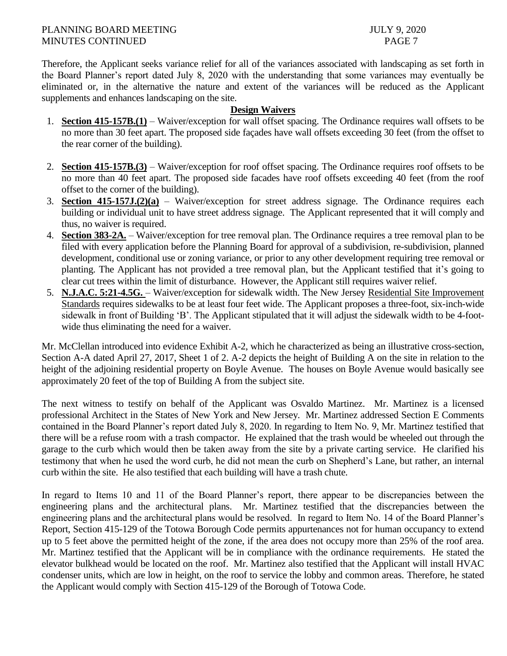Therefore, the Applicant seeks variance relief for all of the variances associated with landscaping as set forth in the Board Planner's report dated July 8, 2020 with the understanding that some variances may eventually be eliminated or, in the alternative the nature and extent of the variances will be reduced as the Applicant supplements and enhances landscaping on the site.

## **Design Waivers**

- 1. **Section 415-157B.(1)** Waiver/exception for wall offset spacing. The Ordinance requires wall offsets to be no more than 30 feet apart. The proposed side façades have wall offsets exceeding 30 feet (from the offset to the rear corner of the building).
- 2. **Section 415-157B.(3)** Waiver/exception for roof offset spacing. The Ordinance requires roof offsets to be no more than 40 feet apart. The proposed side facades have roof offsets exceeding 40 feet (from the roof offset to the corner of the building).
- 3. **Section 415-157J.(2)(a)** Waiver/exception for street address signage. The Ordinance requires each building or individual unit to have street address signage. The Applicant represented that it will comply and thus, no waiver is required.
- 4. **Section 383-2A.** Waiver/exception for tree removal plan. The Ordinance requires a tree removal plan to be filed with every application before the Planning Board for approval of a subdivision, re-subdivision, planned development, conditional use or zoning variance, or prior to any other development requiring tree removal or planting. The Applicant has not provided a tree removal plan, but the Applicant testified that it's going to clear cut trees within the limit of disturbance. However, the Applicant still requires waiver relief.
- 5. **N.J.A.C. 5:21-4.5G.**  Waiver/exception for sidewalk width. The New Jersey Residential Site Improvement Standards requires sidewalks to be at least four feet wide. The Applicant proposes a three-foot, six-inch-wide sidewalk in front of Building 'B'. The Applicant stipulated that it will adjust the sidewalk width to be 4-footwide thus eliminating the need for a waiver.

Mr. McClellan introduced into evidence Exhibit A-2, which he characterized as being an illustrative cross-section, Section A-A dated April 27, 2017, Sheet 1 of 2. A-2 depicts the height of Building A on the site in relation to the height of the adjoining residential property on Boyle Avenue. The houses on Boyle Avenue would basically see approximately 20 feet of the top of Building A from the subject site.

The next witness to testify on behalf of the Applicant was Osvaldo Martinez. Mr. Martinez is a licensed professional Architect in the States of New York and New Jersey. Mr. Martinez addressed Section E Comments contained in the Board Planner's report dated July 8, 2020. In regarding to Item No. 9, Mr. Martinez testified that there will be a refuse room with a trash compactor. He explained that the trash would be wheeled out through the garage to the curb which would then be taken away from the site by a private carting service. He clarified his testimony that when he used the word curb, he did not mean the curb on Shepherd's Lane, but rather, an internal curb within the site. He also testified that each building will have a trash chute.

In regard to Items 10 and 11 of the Board Planner's report, there appear to be discrepancies between the engineering plans and the architectural plans. Mr. Martinez testified that the discrepancies between the engineering plans and the architectural plans would be resolved. In regard to Item No. 14 of the Board Planner's Report, Section 415-129 of the Totowa Borough Code permits appurtenances not for human occupancy to extend up to 5 feet above the permitted height of the zone, if the area does not occupy more than 25% of the roof area. Mr. Martinez testified that the Applicant will be in compliance with the ordinance requirements. He stated the elevator bulkhead would be located on the roof. Mr. Martinez also testified that the Applicant will install HVAC condenser units, which are low in height, on the roof to service the lobby and common areas. Therefore, he stated the Applicant would comply with Section 415-129 of the Borough of Totowa Code.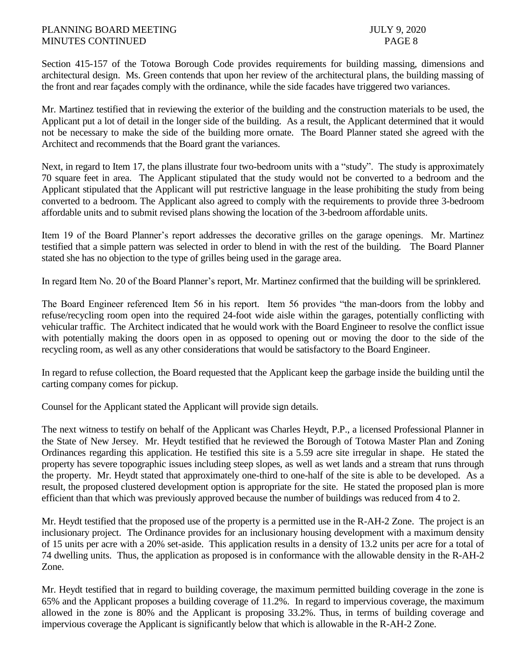Section 415-157 of the Totowa Borough Code provides requirements for building massing, dimensions and architectural design. Ms. Green contends that upon her review of the architectural plans, the building massing of the front and rear façades comply with the ordinance, while the side facades have triggered two variances.

Mr. Martinez testified that in reviewing the exterior of the building and the construction materials to be used, the Applicant put a lot of detail in the longer side of the building. As a result, the Applicant determined that it would not be necessary to make the side of the building more ornate. The Board Planner stated she agreed with the Architect and recommends that the Board grant the variances.

Next, in regard to Item 17, the plans illustrate four two-bedroom units with a "study". The study is approximately 70 square feet in area. The Applicant stipulated that the study would not be converted to a bedroom and the Applicant stipulated that the Applicant will put restrictive language in the lease prohibiting the study from being converted to a bedroom. The Applicant also agreed to comply with the requirements to provide three 3-bedroom affordable units and to submit revised plans showing the location of the 3-bedroom affordable units.

Item 19 of the Board Planner's report addresses the decorative grilles on the garage openings. Mr. Martinez testified that a simple pattern was selected in order to blend in with the rest of the building. The Board Planner stated she has no objection to the type of grilles being used in the garage area.

In regard Item No. 20 of the Board Planner's report, Mr. Martinez confirmed that the building will be sprinklered.

The Board Engineer referenced Item 56 in his report. Item 56 provides "the man-doors from the lobby and refuse/recycling room open into the required 24-foot wide aisle within the garages, potentially conflicting with vehicular traffic. The Architect indicated that he would work with the Board Engineer to resolve the conflict issue with potentially making the doors open in as opposed to opening out or moving the door to the side of the recycling room, as well as any other considerations that would be satisfactory to the Board Engineer.

In regard to refuse collection, the Board requested that the Applicant keep the garbage inside the building until the carting company comes for pickup.

Counsel for the Applicant stated the Applicant will provide sign details.

The next witness to testify on behalf of the Applicant was Charles Heydt, P.P., a licensed Professional Planner in the State of New Jersey. Mr. Heydt testified that he reviewed the Borough of Totowa Master Plan and Zoning Ordinances regarding this application. He testified this site is a 5.59 acre site irregular in shape. He stated the property has severe topographic issues including steep slopes, as well as wet lands and a stream that runs through the property. Mr. Heydt stated that approximately one-third to one-half of the site is able to be developed. As a result, the proposed clustered development option is appropriate for the site. He stated the proposed plan is more efficient than that which was previously approved because the number of buildings was reduced from 4 to 2.

Mr. Heydt testified that the proposed use of the property is a permitted use in the R-AH-2 Zone. The project is an inclusionary project. The Ordinance provides for an inclusionary housing development with a maximum density of 15 units per acre with a 20% set-aside. This application results in a density of 13.2 units per acre for a total of 74 dwelling units. Thus, the application as proposed is in conformance with the allowable density in the R-AH-2 Zone.

Mr. Heydt testified that in regard to building coverage, the maximum permitted building coverage in the zone is 65% and the Applicant proposes a building coverage of 11.2%. In regard to impervious coverage, the maximum allowed in the zone is 80% and the Applicant is proposing 33.2%. Thus, in terms of building coverage and impervious coverage the Applicant is significantly below that which is allowable in the R-AH-2 Zone.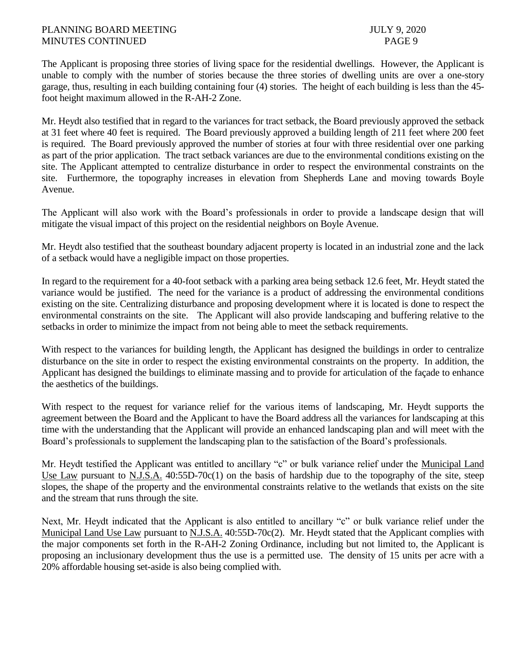The Applicant is proposing three stories of living space for the residential dwellings. However, the Applicant is unable to comply with the number of stories because the three stories of dwelling units are over a one-story garage, thus, resulting in each building containing four (4) stories. The height of each building is less than the 45 foot height maximum allowed in the R-AH-2 Zone.

Mr. Heydt also testified that in regard to the variances for tract setback, the Board previously approved the setback at 31 feet where 40 feet is required. The Board previously approved a building length of 211 feet where 200 feet is required. The Board previously approved the number of stories at four with three residential over one parking as part of the prior application. The tract setback variances are due to the environmental conditions existing on the site. The Applicant attempted to centralize disturbance in order to respect the environmental constraints on the site. Furthermore, the topography increases in elevation from Shepherds Lane and moving towards Boyle Avenue.

The Applicant will also work with the Board's professionals in order to provide a landscape design that will mitigate the visual impact of this project on the residential neighbors on Boyle Avenue.

Mr. Heydt also testified that the southeast boundary adjacent property is located in an industrial zone and the lack of a setback would have a negligible impact on those properties.

In regard to the requirement for a 40-foot setback with a parking area being setback 12.6 feet, Mr. Heydt stated the variance would be justified. The need for the variance is a product of addressing the environmental conditions existing on the site. Centralizing disturbance and proposing development where it is located is done to respect the environmental constraints on the site. The Applicant will also provide landscaping and buffering relative to the setbacks in order to minimize the impact from not being able to meet the setback requirements.

With respect to the variances for building length, the Applicant has designed the buildings in order to centralize disturbance on the site in order to respect the existing environmental constraints on the property. In addition, the Applicant has designed the buildings to eliminate massing and to provide for articulation of the façade to enhance the aesthetics of the buildings.

With respect to the request for variance relief for the various items of landscaping, Mr. Heydt supports the agreement between the Board and the Applicant to have the Board address all the variances for landscaping at this time with the understanding that the Applicant will provide an enhanced landscaping plan and will meet with the Board's professionals to supplement the landscaping plan to the satisfaction of the Board's professionals.

Mr. Heydt testified the Applicant was entitled to ancillary "c" or bulk variance relief under the Municipal Land Use Law pursuant to N.J.S.A. 40:55D-70c(1) on the basis of hardship due to the topography of the site, steep slopes, the shape of the property and the environmental constraints relative to the wetlands that exists on the site and the stream that runs through the site.

Next, Mr. Heydt indicated that the Applicant is also entitled to ancillary "c" or bulk variance relief under the Municipal Land Use Law pursuant to N.J.S.A. 40:55D-70c(2). Mr. Heydt stated that the Applicant complies with the major components set forth in the R-AH-2 Zoning Ordinance, including but not limited to, the Applicant is proposing an inclusionary development thus the use is a permitted use. The density of 15 units per acre with a 20% affordable housing set-aside is also being complied with.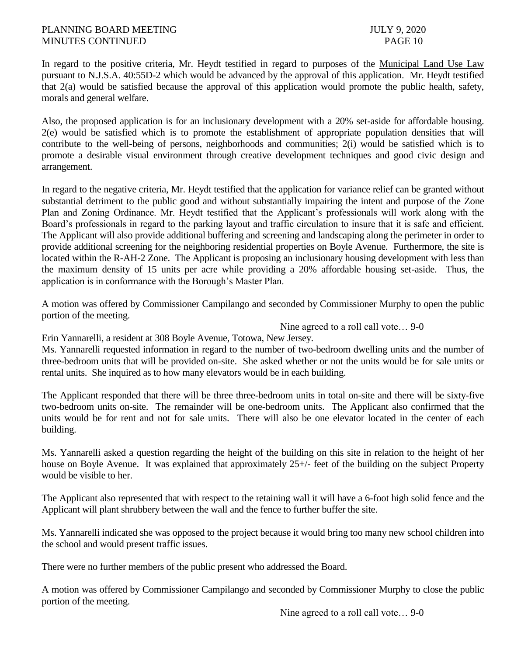In regard to the positive criteria, Mr. Heydt testified in regard to purposes of the Municipal Land Use Law pursuant to N.J.S.A. 40:55D-2 which would be advanced by the approval of this application. Mr. Heydt testified that 2(a) would be satisfied because the approval of this application would promote the public health, safety, morals and general welfare.

Also, the proposed application is for an inclusionary development with a 20% set-aside for affordable housing. 2(e) would be satisfied which is to promote the establishment of appropriate population densities that will contribute to the well-being of persons, neighborhoods and communities; 2(i) would be satisfied which is to promote a desirable visual environment through creative development techniques and good civic design and arrangement.

In regard to the negative criteria, Mr. Heydt testified that the application for variance relief can be granted without substantial detriment to the public good and without substantially impairing the intent and purpose of the Zone Plan and Zoning Ordinance. Mr. Heydt testified that the Applicant's professionals will work along with the Board's professionals in regard to the parking layout and traffic circulation to insure that it is safe and efficient. The Applicant will also provide additional buffering and screening and landscaping along the perimeter in order to provide additional screening for the neighboring residential properties on Boyle Avenue. Furthermore, the site is located within the R-AH-2 Zone. The Applicant is proposing an inclusionary housing development with less than the maximum density of 15 units per acre while providing a 20% affordable housing set-aside. Thus, the application is in conformance with the Borough's Master Plan.

A motion was offered by Commissioner Campilango and seconded by Commissioner Murphy to open the public portion of the meeting.

Nine agreed to a roll call vote… 9-0

Erin Yannarelli, a resident at 308 Boyle Avenue, Totowa, New Jersey.

Ms. Yannarelli requested information in regard to the number of two-bedroom dwelling units and the number of three-bedroom units that will be provided on-site. She asked whether or not the units would be for sale units or rental units. She inquired as to how many elevators would be in each building.

The Applicant responded that there will be three three-bedroom units in total on-site and there will be sixty-five two-bedroom units on-site. The remainder will be one-bedroom units. The Applicant also confirmed that the units would be for rent and not for sale units. There will also be one elevator located in the center of each building.

Ms. Yannarelli asked a question regarding the height of the building on this site in relation to the height of her house on Boyle Avenue. It was explained that approximately 25+/- feet of the building on the subject Property would be visible to her.

The Applicant also represented that with respect to the retaining wall it will have a 6-foot high solid fence and the Applicant will plant shrubbery between the wall and the fence to further buffer the site.

Ms. Yannarelli indicated she was opposed to the project because it would bring too many new school children into the school and would present traffic issues.

There were no further members of the public present who addressed the Board.

A motion was offered by Commissioner Campilango and seconded by Commissioner Murphy to close the public portion of the meeting.

Nine agreed to a roll call vote… 9-0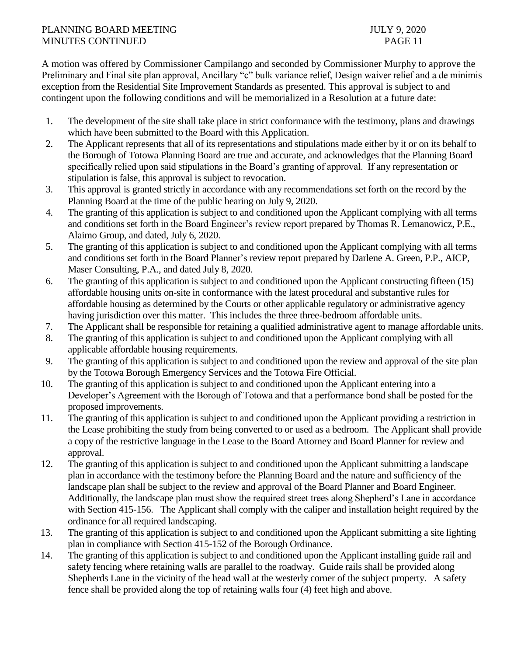# PLANNING BOARD MEETING JULY 9, 2020 MINUTES CONTINUED PAGE 11

A motion was offered by Commissioner Campilango and seconded by Commissioner Murphy to approve the Preliminary and Final site plan approval, Ancillary "c" bulk variance relief, Design waiver relief and a de minimis exception from the Residential Site Improvement Standards as presented. This approval is subject to and contingent upon the following conditions and will be memorialized in a Resolution at a future date:

- 1. The development of the site shall take place in strict conformance with the testimony, plans and drawings which have been submitted to the Board with this Application.
- 2. The Applicant represents that all of its representations and stipulations made either by it or on its behalf to the Borough of Totowa Planning Board are true and accurate, and acknowledges that the Planning Board specifically relied upon said stipulations in the Board's granting of approval. If any representation or stipulation is false, this approval is subject to revocation.
- 3. This approval is granted strictly in accordance with any recommendations set forth on the record by the Planning Board at the time of the public hearing on July 9, 2020.
- 4. The granting of this application is subject to and conditioned upon the Applicant complying with all terms and conditions set forth in the Board Engineer's review report prepared by Thomas R. Lemanowicz, P.E., Alaimo Group, and dated, July 6, 2020.
- 5. The granting of this application is subject to and conditioned upon the Applicant complying with all terms and conditions set forth in the Board Planner's review report prepared by Darlene A. Green, P.P., AICP, Maser Consulting, P.A., and dated July 8, 2020.
- 6. The granting of this application is subject to and conditioned upon the Applicant constructing fifteen (15) affordable housing units on-site in conformance with the latest procedural and substantive rules for affordable housing as determined by the Courts or other applicable regulatory or administrative agency having jurisdiction over this matter. This includes the three three-bedroom affordable units.
- 7. The Applicant shall be responsible for retaining a qualified administrative agent to manage affordable units.
- 8. The granting of this application is subject to and conditioned upon the Applicant complying with all applicable affordable housing requirements.
- 9. The granting of this application is subject to and conditioned upon the review and approval of the site plan by the Totowa Borough Emergency Services and the Totowa Fire Official.
- 10. The granting of this application is subject to and conditioned upon the Applicant entering into a Developer's Agreement with the Borough of Totowa and that a performance bond shall be posted for the proposed improvements.
- 11. The granting of this application is subject to and conditioned upon the Applicant providing a restriction in the Lease prohibiting the study from being converted to or used as a bedroom. The Applicant shall provide a copy of the restrictive language in the Lease to the Board Attorney and Board Planner for review and approval.
- 12. The granting of this application is subject to and conditioned upon the Applicant submitting a landscape plan in accordance with the testimony before the Planning Board and the nature and sufficiency of the landscape plan shall be subject to the review and approval of the Board Planner and Board Engineer. Additionally, the landscape plan must show the required street trees along Shepherd's Lane in accordance with Section 415-156. The Applicant shall comply with the caliper and installation height required by the ordinance for all required landscaping.
- 13. The granting of this application is subject to and conditioned upon the Applicant submitting a site lighting plan in compliance with Section 415-152 of the Borough Ordinance.
- 14. The granting of this application is subject to and conditioned upon the Applicant installing guide rail and safety fencing where retaining walls are parallel to the roadway. Guide rails shall be provided along Shepherds Lane in the vicinity of the head wall at the westerly corner of the subject property. A safety fence shall be provided along the top of retaining walls four (4) feet high and above.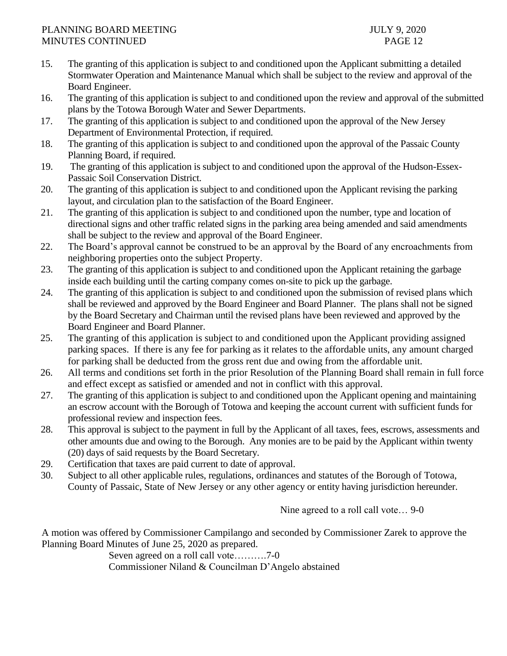# PLANNING BOARD MEETING JULY 9, 2020 MINUTES CONTINUED PAGE 12

- 15. The granting of this application is subject to and conditioned upon the Applicant submitting a detailed Stormwater Operation and Maintenance Manual which shall be subject to the review and approval of the Board Engineer.
- 16. The granting of this application is subject to and conditioned upon the review and approval of the submitted plans by the Totowa Borough Water and Sewer Departments.
- 17. The granting of this application is subject to and conditioned upon the approval of the New Jersey Department of Environmental Protection, if required.
- 18. The granting of this application is subject to and conditioned upon the approval of the Passaic County Planning Board, if required.
- 19. The granting of this application is subject to and conditioned upon the approval of the Hudson-Essex-Passaic Soil Conservation District.
- 20. The granting of this application is subject to and conditioned upon the Applicant revising the parking layout, and circulation plan to the satisfaction of the Board Engineer.
- 21. The granting of this application is subject to and conditioned upon the number, type and location of directional signs and other traffic related signs in the parking area being amended and said amendments shall be subject to the review and approval of the Board Engineer.
- 22. The Board's approval cannot be construed to be an approval by the Board of any encroachments from neighboring properties onto the subject Property.
- 23. The granting of this application is subject to and conditioned upon the Applicant retaining the garbage inside each building until the carting company comes on-site to pick up the garbage.
- 24. The granting of this application is subject to and conditioned upon the submission of revised plans which shall be reviewed and approved by the Board Engineer and Board Planner. The plans shall not be signed by the Board Secretary and Chairman until the revised plans have been reviewed and approved by the Board Engineer and Board Planner.
- 25. The granting of this application is subject to and conditioned upon the Applicant providing assigned parking spaces. If there is any fee for parking as it relates to the affordable units, any amount charged for parking shall be deducted from the gross rent due and owing from the affordable unit.
- 26. All terms and conditions set forth in the prior Resolution of the Planning Board shall remain in full force and effect except as satisfied or amended and not in conflict with this approval.
- 27. The granting of this application is subject to and conditioned upon the Applicant opening and maintaining an escrow account with the Borough of Totowa and keeping the account current with sufficient funds for professional review and inspection fees.
- 28. This approval is subject to the payment in full by the Applicant of all taxes, fees, escrows, assessments and other amounts due and owing to the Borough. Any monies are to be paid by the Applicant within twenty (20) days of said requests by the Board Secretary.
- 29. Certification that taxes are paid current to date of approval.
- 30. Subject to all other applicable rules, regulations, ordinances and statutes of the Borough of Totowa, County of Passaic, State of New Jersey or any other agency or entity having jurisdiction hereunder.

Nine agreed to a roll call vote… 9-0

A motion was offered by Commissioner Campilango and seconded by Commissioner Zarek to approve the Planning Board Minutes of June 25, 2020 as prepared.

Seven agreed on a roll call vote……….7-0

Commissioner Niland & Councilman D'Angelo abstained